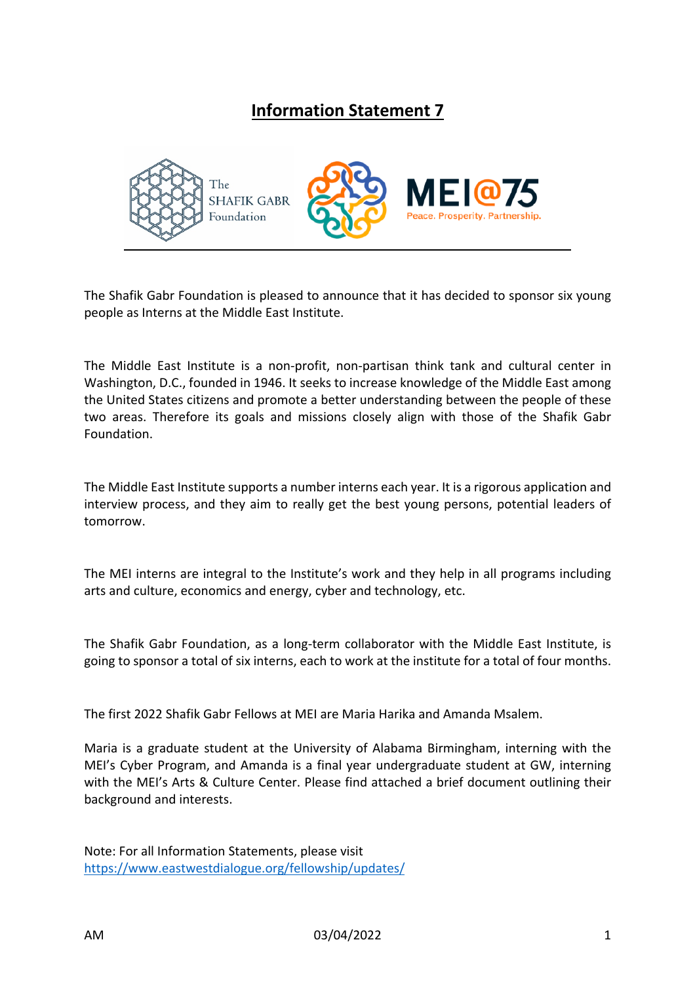# **Information Statement 7**



The Shafik Gabr Foundation is pleased to announce that it has decided to sponsor six young people as Interns at the Middle East Institute.

The Middle East Institute is a non-profit, non-partisan think tank and cultural center in Washington, D.C., founded in 1946. It seeks to increase knowledge of the Middle East among the United States citizens and promote a better understanding between the people of these two areas. Therefore its goals and missions closely align with those of the Shafik Gabr Foundation.

The Middle East Institute supports a number interns each year. It is a rigorous application and interview process, and they aim to really get the best young persons, potential leaders of tomorrow.

The MEI interns are integral to the Institute's work and they help in all programs including arts and culture, economics and energy, cyber and technology, etc.

The Shafik Gabr Foundation, as a long-term collaborator with the Middle East Institute, is going to sponsor a total of six interns, each to work at the institute for a total of four months.

The first 2022 Shafik Gabr Fellows at MEI are Maria Harika and Amanda Msalem.

Maria is a graduate student at the University of Alabama Birmingham, interning with the MEI's Cyber Program, and Amanda is a final year undergraduate student at GW, interning with the MEI's Arts & Culture Center. Please find attached a brief document outlining their background and interests.

Note: For all Information Statements, please visit https://www.eastwestdialogue.org/fellowship/updates/